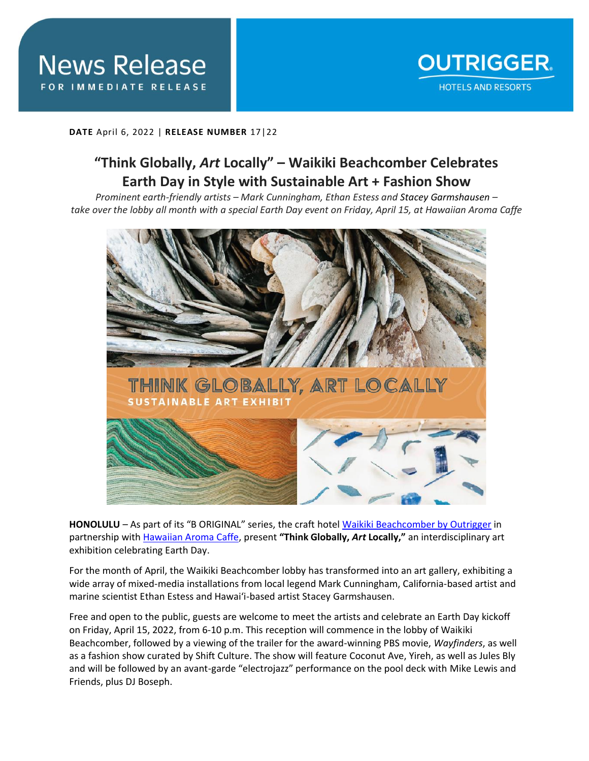

**DATE** April 6, 2022 | **RELEASE NUMBER** 17|22

## **"Think Globally,** *Art* **Locally" – Waikiki Beachcomber Celebrates Earth Day in Style with Sustainable Art + Fashion Show**

*Prominent earth-friendly artists – Mark Cunningham, Ethan Estess and Stacey Garmshausen – take over the lobby all month with a special Earth Day event on Friday, April 15, at Hawaiian Aroma Caffe*



**HONOLULU** – As part of its "B ORIGINAL" series, the craft hotel [Waikiki Beachcomber by Outrigger](https://www.outrigger.com/hotels-resorts/hawaii/oahu/waikiki-beachcomber-by-outrigger) in partnership with [Hawaiian Aroma Caffe,](https://www.hawaiianaromacaffe.com/) present **"Think Globally,** *Art* **Locally,"** an interdisciplinary art exhibition celebrating Earth Day.

For the month of April, the Waikiki Beachcomber lobby has transformed into an art gallery, exhibiting a wide array of mixed-media installations from local legend Mark Cunningham, California-based artist and marine scientist Ethan Estess and Hawai'i-based artist Stacey Garmshausen.

Free and open to the public, guests are welcome to meet the artists and celebrate an Earth Day kickoff on Friday, April 15, 2022, from 6-10 p.m. This reception will commence in the lobby of Waikiki Beachcomber, followed by a viewing of the trailer for the award-winning PBS movie, *Wayfinders*, as well as a fashion show curated by Shift Culture. The show will feature Coconut Ave, Yireh, as well as Jules Bly and will be followed by an avant-garde "electrojazz" performance on the pool deck with Mike Lewis and Friends, plus DJ Boseph.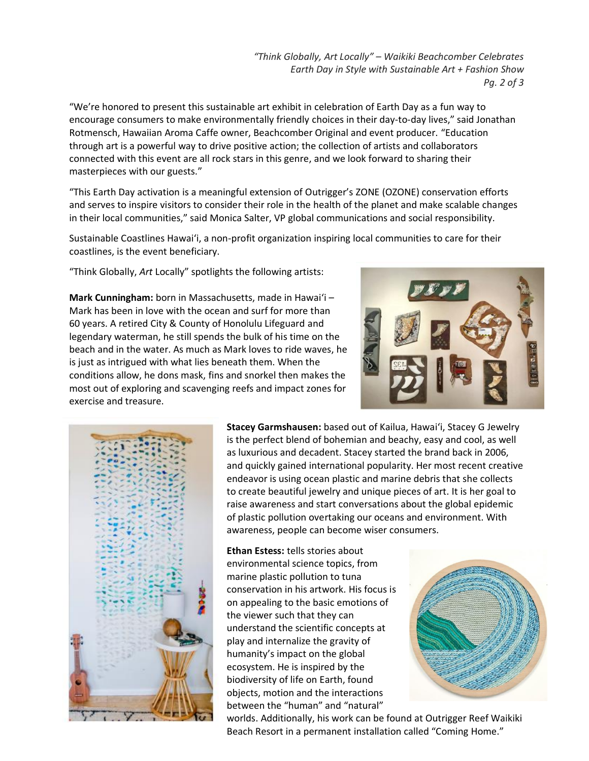*"Think Globally, Art Locally" – Waikiki Beachcomber Celebrates Earth Day in Style with Sustainable Art + Fashion Show Pg. 2 of 3*

"We're honored to present this sustainable art exhibit in celebration of Earth Day as a fun way to encourage consumers to make environmentally friendly choices in their day-to-day lives," said Jonathan Rotmensch, Hawaiian Aroma Caffe owner, Beachcomber Original and event producer. "Education through art is a powerful way to drive positive action; the collection of artists and collaborators connected with this event are all rock stars in this genre, and we look forward to sharing their masterpieces with our guests."

"This Earth Day activation is a meaningful extension of Outrigger's ZONE (OZONE) conservation efforts and serves to inspire visitors to consider their role in the health of the planet and make scalable changes in their local communities," said Monica Salter, VP global communications and social responsibility.

Sustainable Coastlines Hawai'i, a non-profit organization inspiring local communities to care for their coastlines, is the event beneficiary.

"Think Globally, *Art* Locally" spotlights the following artists:

**Mark Cunningham:** born in Massachusetts, made in Hawai'i – Mark has been in love with the ocean and surf for more than 60 years. A retired City & County of Honolulu Lifeguard and legendary waterman, he still spends the bulk of his time on the beach and in the water. As much as Mark loves to ride waves, he is just as intrigued with what lies beneath them. When the conditions allow, he dons mask, fins and snorkel then makes the most out of exploring and scavenging reefs and impact zones for exercise and treasure.





**Stacey Garmshausen:** based out of Kailua, Hawai'i, Stacey G Jewelry is the perfect blend of bohemian and beachy, easy and cool, as well as luxurious and decadent. Stacey started the brand back in 2006, and quickly gained international popularity. Her most recent creative endeavor is using ocean plastic and marine debris that she collects to create beautiful jewelry and unique pieces of art. It is her goal to raise awareness and start conversations about the global epidemic of plastic pollution overtaking our oceans and environment. With awareness, people can become wiser consumers.

**Ethan Estess:** tells stories about environmental science topics, from marine plastic pollution to tuna conservation in his artwork. His focus is on appealing to the basic emotions of the viewer such that they can understand the scientific concepts at play and internalize the gravity of humanity's impact on the global ecosystem. He is inspired by the biodiversity of life on Earth, found objects, motion and the interactions between the "human" and "natural"



worlds. Additionally, his work can be found at Outrigger Reef Waikiki Beach Resort in a permanent installation called "Coming Home."